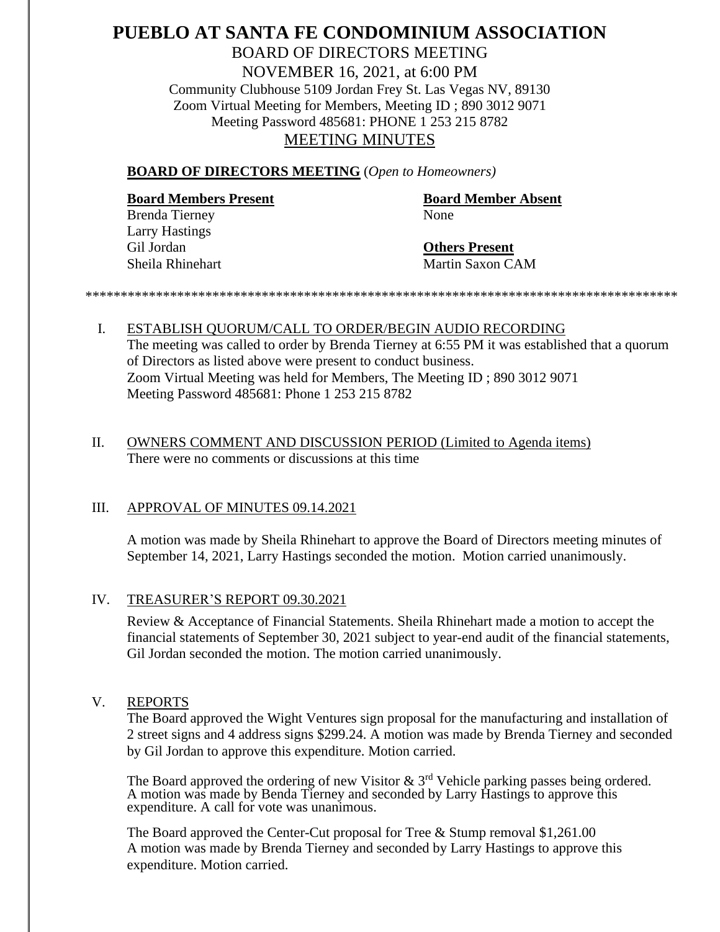# **PUEBLO AT SANTA FE CONDOMINIUM ASSOCIATION** BOARD OF DIRECTORS MEETING NOVEMBER 16, 2021, at 6:00 PM Community Clubhouse 5109 Jordan Frey St. Las Vegas NV, 89130 Zoom Virtual Meeting for Members, Meeting ID ; 890 3012 9071 Meeting Password 485681: PHONE 1 253 215 8782 MEETING MINUTES

#### **BOARD OF DIRECTORS MEETING** (*Open to Homeowners)*

# **Board Members Present Board Member Absent**

Brenda Tierney None Larry Hastings Gil Jordan **Others Present**

Sheila Rhinehart Martin Saxon CAM

*\*\*\*\*\*\*\*\*\*\*\*\*\*\*\*\*\*\*\*\*\*\*\*\*\*\*\*\*\*\*\*\*\*\*\*\*\*\*\*\*\*\*\*\*\*\*\*\*\*\*\*\*\*\*\*\*\*\*\*\*\*\*\*\*\*\*\*\*\*\*\*\*\*\*\*\*\*\*\*\*\*\*\*\**

I. ESTABLISH QUORUM/CALL TO ORDER/BEGIN AUDIO RECORDING The meeting was called to order by Brenda Tierney at 6:55 PM it was established that a quorum of Directors as listed above were present to conduct business. Zoom Virtual Meeting was held for Members, The Meeting ID ; 890 3012 9071 Meeting Password 485681: Phone 1 253 215 8782

## II. OWNERS COMMENT AND DISCUSSION PERIOD (Limited to Agenda items) There were no comments or discussions at this time

## III. APPROVAL OF MINUTES 09.14.2021

A motion was made by Sheila Rhinehart to approve the Board of Directors meeting minutes of September 14, 2021, Larry Hastings seconded the motion. Motion carried unanimously.

## IV. TREASURER'S REPORT 09.30.2021

Review & Acceptance of Financial Statements. Sheila Rhinehart made a motion to accept the financial statements of September 30, 2021 subject to year-end audit of the financial statements, Gil Jordan seconded the motion. The motion carried unanimously.

## V. REPORTS

The Board approved the Wight Ventures sign proposal for the manufacturing and installation of 2 street signs and 4 address signs \$299.24. A motion was made by Brenda Tierney and seconded by Gil Jordan to approve this expenditure. Motion carried.

The Board approved the ordering of new Visitor  $\&$  3<sup>rd</sup> Vehicle parking passes being ordered. A motion was made by Benda Tierney and seconded by Larry Hastings to approve this expenditure. A call for vote was unanimous.

The Board approved the Center-Cut proposal for Tree & Stump removal \$1,261.00 A motion was made by Brenda Tierney and seconded by Larry Hastings to approve this expenditure. Motion carried.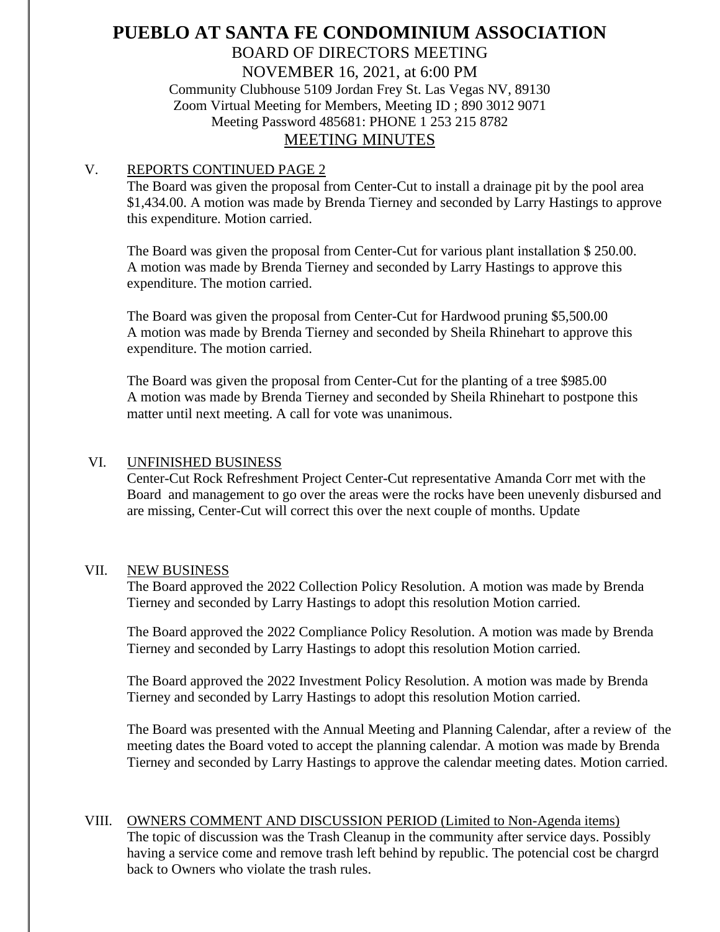# **PUEBLO AT SANTA FE CONDOMINIUM ASSOCIATION** BOARD OF DIRECTORS MEETING NOVEMBER 16, 2021, at 6:00 PM Community Clubhouse 5109 Jordan Frey St. Las Vegas NV, 89130 Zoom Virtual Meeting for Members, Meeting ID ; 890 3012 9071

Meeting Password 485681: PHONE 1 253 215 8782

## MEETING MINUTES

## V. REPORTS CONTINUED PAGE 2

The Board was given the proposal from Center-Cut to install a drainage pit by the pool area \$1,434.00. A motion was made by Brenda Tierney and seconded by Larry Hastings to approve this expenditure. Motion carried.

The Board was given the proposal from Center-Cut for various plant installation \$ 250.00. A motion was made by Brenda Tierney and seconded by Larry Hastings to approve this expenditure. The motion carried.

The Board was given the proposal from Center-Cut for Hardwood pruning \$5,500.00 A motion was made by Brenda Tierney and seconded by Sheila Rhinehart to approve this expenditure. The motion carried.

The Board was given the proposal from Center-Cut for the planting of a tree \$985.00 A motion was made by Brenda Tierney and seconded by Sheila Rhinehart to postpone this matter until next meeting. A call for vote was unanimous.

## VI. UNFINISHED BUSINESS

Center-Cut Rock Refreshment Project Center-Cut representative Amanda Corr met with the Board and management to go over the areas were the rocks have been unevenly disbursed and are missing, Center-Cut will correct this over the next couple of months. Update

## VII. NEW BUSINESS

The Board approved the 2022 Collection Policy Resolution. A motion was made by Brenda Tierney and seconded by Larry Hastings to adopt this resolution Motion carried.

The Board approved the 2022 Compliance Policy Resolution. A motion was made by Brenda Tierney and seconded by Larry Hastings to adopt this resolution Motion carried.

The Board approved the 2022 Investment Policy Resolution. A motion was made by Brenda Tierney and seconded by Larry Hastings to adopt this resolution Motion carried.

The Board was presented with the Annual Meeting and Planning Calendar, after a review of the meeting dates the Board voted to accept the planning calendar. A motion was made by Brenda Tierney and seconded by Larry Hastings to approve the calendar meeting dates. Motion carried.

## VIII. OWNERS COMMENT AND DISCUSSION PERIOD (Limited to Non-Agenda items) The topic of discussion was the Trash Cleanup in the community after service days. Possibly having a service come and remove trash left behind by republic. The potencial cost be chargrd back to Owners who violate the trash rules.